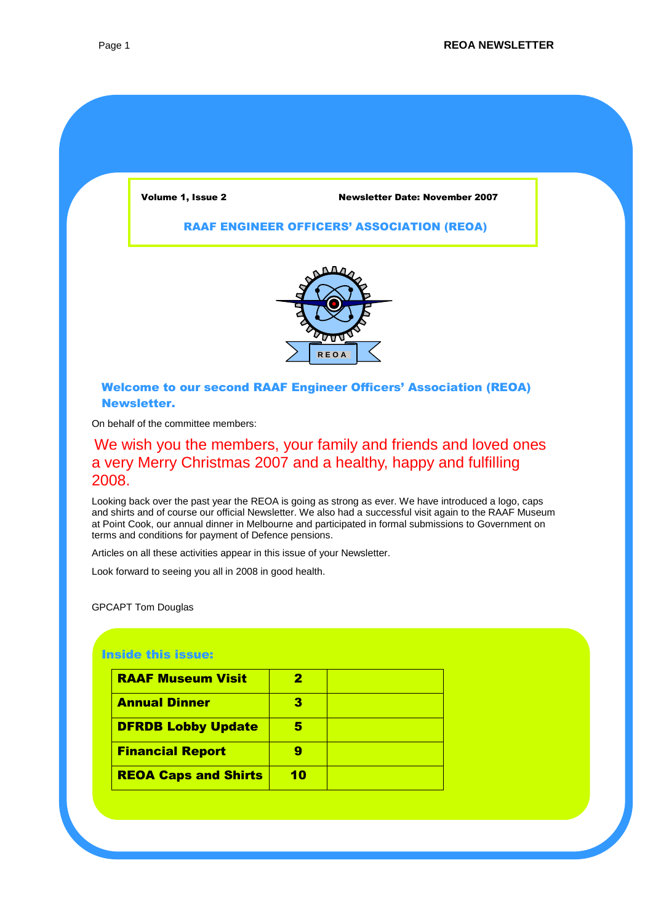#### Volume 1, Issue 2 Newsletter Date: November 2007

#### RAAF ENGINEER OFFICERS' ASSOCIATION (REOA)



#### Welcome to our second RAAF Engineer Officers' Association (REOA) Newsletter.

On behalf of the committee members:

## We wish you the members, your family and friends and loved ones a very Merry Christmas 2007 and a healthy, happy and fulfilling 2008.

Looking back over the past year the REOA is going as strong as ever. We have introduced a logo, caps and shirts and of course our official Newsletter. We also had a successful visit again to the RAAF Museum at Point Cook, our annual dinner in Melbourne and participated in formal submissions to Government on terms and conditions for payment of Defence pensions.

Articles on all these activities appear in this issue of your Newsletter.

Look forward to seeing you all in 2008 in good health.

GPCAPT Tom Douglas

Chairperson

#### Inside this issue:

| <b>RAAF Museum Visit</b>    | 7  |  |
|-----------------------------|----|--|
| <b>Annual Dinner</b>        |    |  |
| <b>DFRDB Lobby Update</b>   |    |  |
| <b>Financial Report</b>     |    |  |
| <b>REOA Caps and Shirts</b> | 10 |  |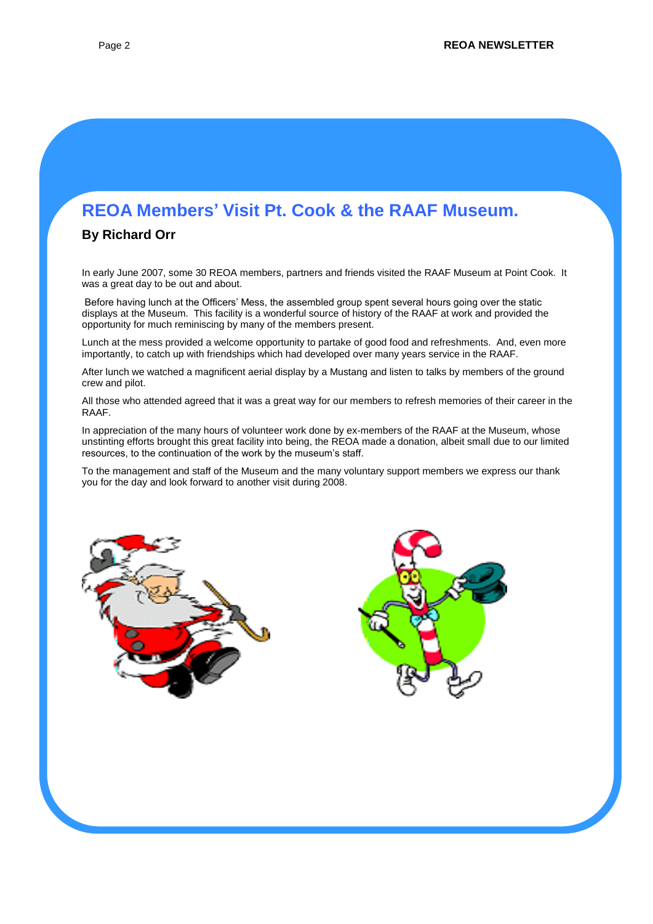# **REOA Members' Visit Pt. Cook & the RAAF Museum.**

#### **By Richard Orr**

In early June 2007, some 30 REOA members, partners and friends visited the RAAF Museum at Point Cook. It was a great day to be out and about.

Before having lunch at the Officers' Mess, the assembled group spent several hours going over the static displays at the Museum. This facility is a wonderful source of history of the RAAF at work and provided the opportunity for much reminiscing by many of the members present.

Lunch at the mess provided a welcome opportunity to partake of good food and refreshments. And, even more importantly, to catch up with friendships which had developed over many years service in the RAAF.

After lunch we watched a magnificent aerial display by a Mustang and listen to talks by members of the ground crew and pilot.

All those who attended agreed that it was a great way for our members to refresh memories of their career in the RAAF.

In appreciation of the many hours of volunteer work done by ex-members of the RAAF at the Museum, whose unstinting efforts brought this great facility into being, the REOA made a donation, albeit small due to our limited resources, to the continuation of the work by the museum's staff.

To the management and staff of the Museum and the many voluntary support members we express our thank you for the day and look forward to another visit during 2008.



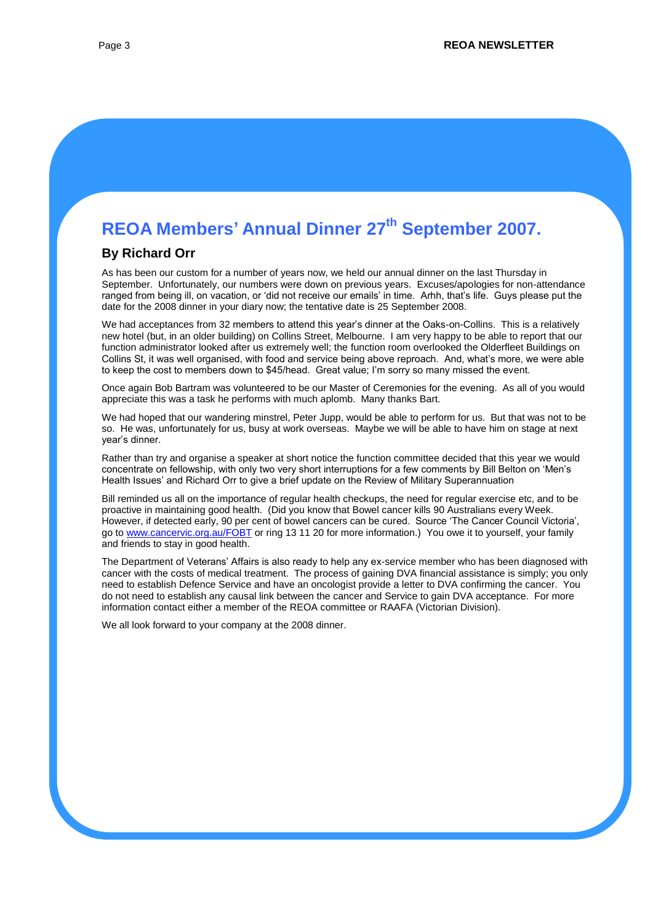# **REOA Members' Annual Dinner 27th September 2007.**

#### **By Richard Orr**

As has been our custom for a number of years now, we held our annual dinner on the last Thursday in September. Unfortunately, our numbers were down on previous years. Excuses/apologies for non-attendance ranged from being ill, on vacation, or 'did not receive our emails' in time. Arhh, that's life. Guys please put the date for the 2008 dinner in your diary now; the tentative date is 25 September 2008.

We had acceptances from 32 members to attend this year's dinner at the Oaks-on-Collins. This is a relatively new hotel (but, in an older building) on Collins Street, Melbourne. I am very happy to be able to report that our function administrator looked after us extremely well; the function room overlooked the Olderfleet Buildings on Collins St, it was well organised, with food and service being above reproach. And, what's more, we were able to keep the cost to members down to \$45/head. Great value; I'm sorry so many missed the event.

Once again Bob Bartram was volunteered to be our Master of Ceremonies for the evening. As all of you would appreciate this was a task he performs with much aplomb. Many thanks Bart.

We had hoped that our wandering minstrel, Peter Jupp, would be able to perform for us. But that was not to be so. He was, unfortunately for us, busy at work overseas. Maybe we will be able to have him on stage at next year's dinner.

Rather than try and organise a speaker at short notice the function committee decided that this year we would concentrate on fellowship, with only two very short interruptions for a few comments by Bill Belton on 'Men's Health Issues' and Richard Orr to give a brief update on the Review of Military Superannuation

Bill reminded us all on the importance of regular health checkups, the need for regular exercise etc, and to be proactive in maintaining good health. (Did you know that Bowel cancer kills 90 Australians every Week. However, if detected early, 90 per cent of bowel cancers can be cured. Source 'The Cancer Council Victoria', go to [www.cancervic.org.au/FOBT](http://www.cancervic.org.au/FOBT) or ring 13 11 20 for more information.) You owe it to yourself, your family and friends to stay in good health.

The Department of Veterans' Affairs is also ready to help any ex-service member who has been diagnosed with cancer with the costs of medical treatment. The process of gaining DVA financial assistance is simply; you only need to establish Defence Service and have an oncologist provide a letter to DVA confirming the cancer. You do not need to establish any causal link between the cancer and Service to gain DVA acceptance. For more information contact either a member of the REOA committee or RAAFA (Victorian Division).

We all look forward to your company at the 2008 dinner.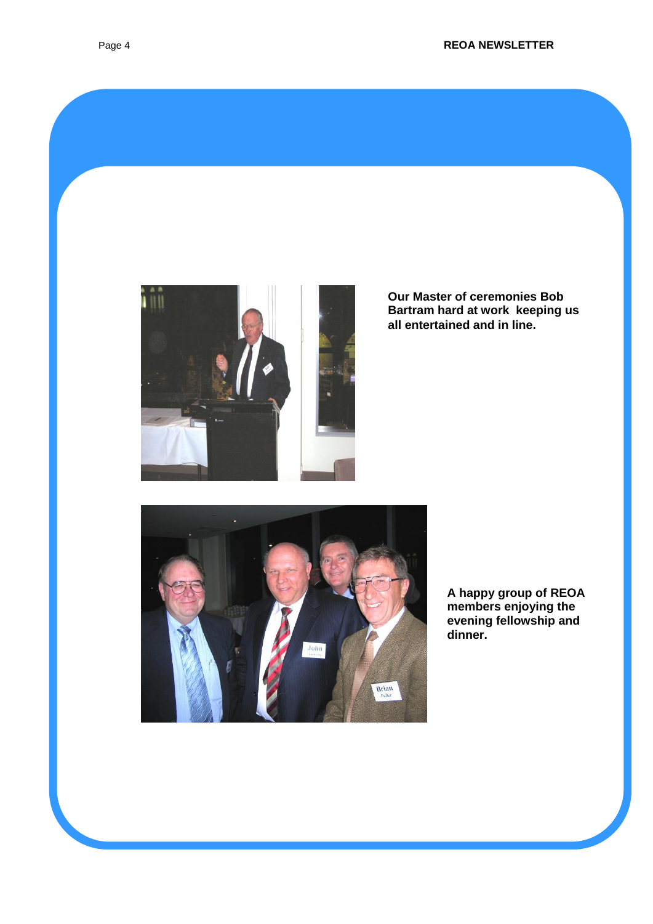

**Our Master of ceremonies Bob Bartram hard at work keeping us all entertained and in line.**



**A happy group of REOA members enjoying the evening fellowship and dinner.**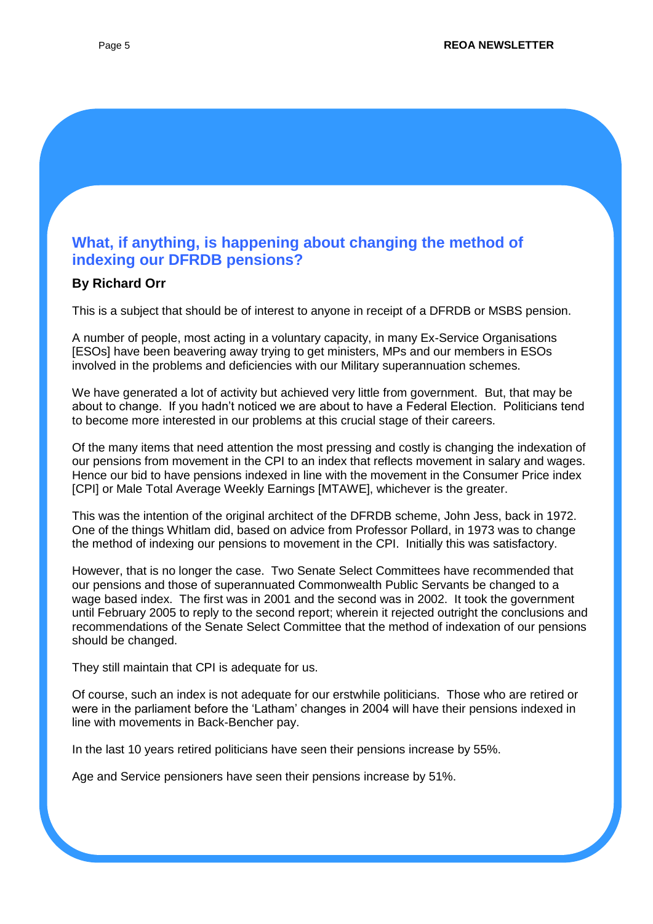## **What, if anything, is happening about changing the method of indexing our DFRDB pensions?**

#### **By Richard Orr**

This is a subject that should be of interest to anyone in receipt of a DFRDB or MSBS pension.

A number of people, most acting in a voluntary capacity, in many Ex-Service Organisations [ESOs] have been beavering away trying to get ministers, MPs and our members in ESOs involved in the problems and deficiencies with our Military superannuation schemes.

We have generated a lot of activity but achieved very little from government. But, that may be about to change. If you hadn't noticed we are about to have a Federal Election. Politicians tend to become more interested in our problems at this crucial stage of their careers.

Of the many items that need attention the most pressing and costly is changing the indexation of our pensions from movement in the CPI to an index that reflects movement in salary and wages. Hence our bid to have pensions indexed in line with the movement in the Consumer Price index [CPI] or Male Total Average Weekly Earnings [MTAWE], whichever is the greater.

This was the intention of the original architect of the DFRDB scheme, John Jess, back in 1972. One of the things Whitlam did, based on advice from Professor Pollard, in 1973 was to change the method of indexing our pensions to movement in the CPI. Initially this was satisfactory.

However, that is no longer the case. Two Senate Select Committees have recommended that our pensions and those of superannuated Commonwealth Public Servants be changed to a wage based index. The first was in 2001 and the second was in 2002. It took the government until February 2005 to reply to the second report; wherein it rejected outright the conclusions and recommendations of the Senate Select Committee that the method of indexation of our pensions should be changed.

They still maintain that CPI is adequate for us.

Of course, such an index is not adequate for our erstwhile politicians. Those who are retired or were in the parliament before the 'Latham' changes in 2004 will have their pensions indexed in line with movements in Back-Bencher pay.

In the last 10 years retired politicians have seen their pensions increase by 55%.

Age and Service pensioners have seen their pensions increase by 51%.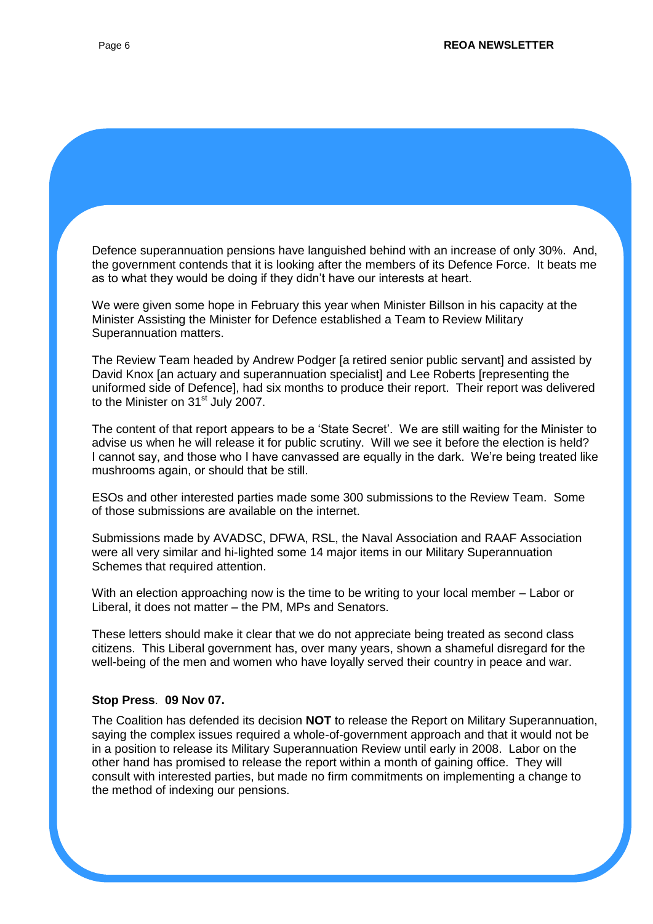Defence superannuation pensions have languished behind with an increase of only 30%. And, the government contends that it is looking after the members of its Defence Force. It beats me as to what they would be doing if they didn't have our interests at heart. We were given some hope in February this year when Minister Billson in his capacity at the Minister Assisting the Minister for Defence established a Team to Review Military Superannuation matters. The Review Team headed by Andrew Podger [a retired senior public servant] and assisted by David Knox [an actuary and superannuation specialist] and Lee Roberts [representing the uniformed side of Defence], had six months to produce their report. Their report was delivered to the Minister on  $31<sup>st</sup>$  July 2007. The content of that report appears to be a 'State Secret'. We are still waiting for the Minister to

advise us when he will release it for public scrutiny. Will we see it before the election is held? I cannot say, and those who I have canvassed are equally in the dark. We're being treated like mushrooms again, or should that be still.

ESOs and other interested parties made some 300 submissions to the Review Team. Some of those submissions are available on the internet.

Submissions made by AVADSC, DFWA, RSL, the Naval Association and RAAF Association were all very similar and hi-lighted some 14 major items in our Military Superannuation Schemes that required attention.

With an election approaching now is the time to be writing to your local member – Labor or Liberal, it does not matter – the PM, MPs and Senators.

These letters should make it clear that we do not appreciate being treated as second class citizens. This Liberal government has, over many years, shown a shameful disregard for the well-being of the men and women who have loyally served their country in peace and war.

#### **Stop Press**. **09 Nov 07.**

The Coalition has defended its decision **NOT** to release the Report on Military Superannuation, saying the complex issues required a whole-of-government approach and that it would not be in a position to release its Military Superannuation Review until early in 2008. Labor on the other hand has promised to release the report within a month of gaining office. They will consult with interested parties, but made no firm commitments on implementing a change to the method of indexing our pensions.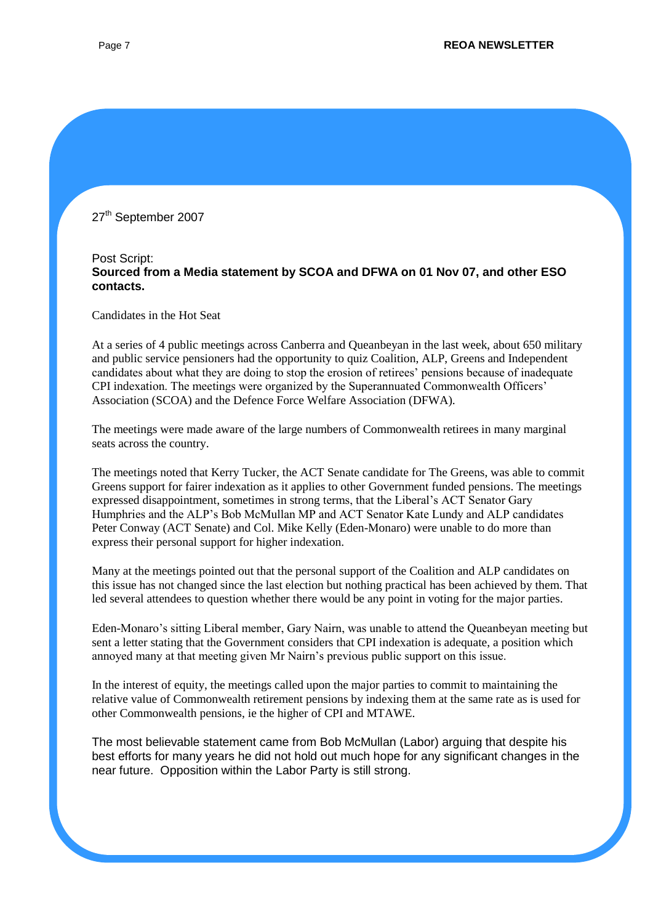#### 27<sup>th</sup> September 2007

#### Post Script: **Sourced from a Media statement by SCOA and DFWA on 01 Nov 07, and other ESO contacts.**

Candidates in the Hot Seat

At a series of 4 public meetings across Canberra and Queanbeyan in the last week, about 650 military and public service pensioners had the opportunity to quiz Coalition, ALP, Greens and Independent candidates about what they are doing to stop the erosion of retirees' pensions because of inadequate CPI indexation. The meetings were organized by the Superannuated Commonwealth Officers' Association (SCOA) and the Defence Force Welfare Association (DFWA).

The meetings were made aware of the large numbers of Commonwealth retirees in many marginal seats across the country.

The meetings noted that Kerry Tucker, the ACT Senate candidate for The Greens, was able to commit Greens support for fairer indexation as it applies to other Government funded pensions. The meetings expressed disappointment, sometimes in strong terms, that the Liberal's ACT Senator Gary Humphries and the ALP's Bob McMullan MP and ACT Senator Kate Lundy and ALP candidates Peter Conway (ACT Senate) and Col. Mike Kelly (Eden-Monaro) were unable to do more than express their personal support for higher indexation.

Many at the meetings pointed out that the personal support of the Coalition and ALP candidates on this issue has not changed since the last election but nothing practical has been achieved by them. That led several attendees to question whether there would be any point in voting for the major parties.

Eden-Monaro's sitting Liberal member, Gary Nairn, was unable to attend the Queanbeyan meeting but sent a letter stating that the Government considers that CPI indexation is adequate, a position which annoyed many at that meeting given Mr Nairn's previous public support on this issue.

In the interest of equity, the meetings called upon the major parties to commit to maintaining the relative value of Commonwealth retirement pensions by indexing them at the same rate as is used for other Commonwealth pensions, ie the higher of CPI and MTAWE.

The most believable statement came from Bob McMullan (Labor) arguing that despite his best efforts for many years he did not hold out much hope for any significant changes in the near future. Opposition within the Labor Party is still strong.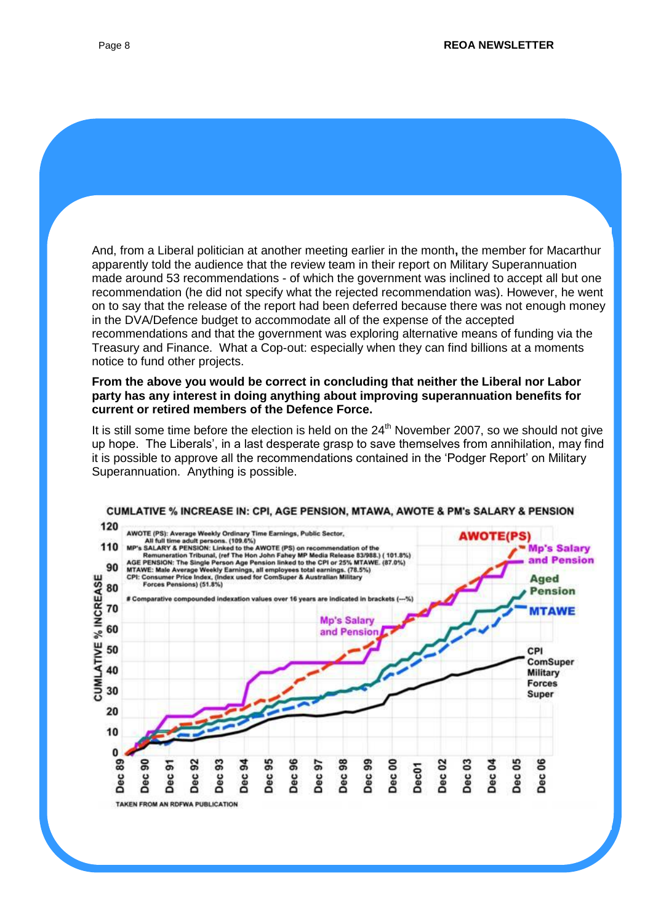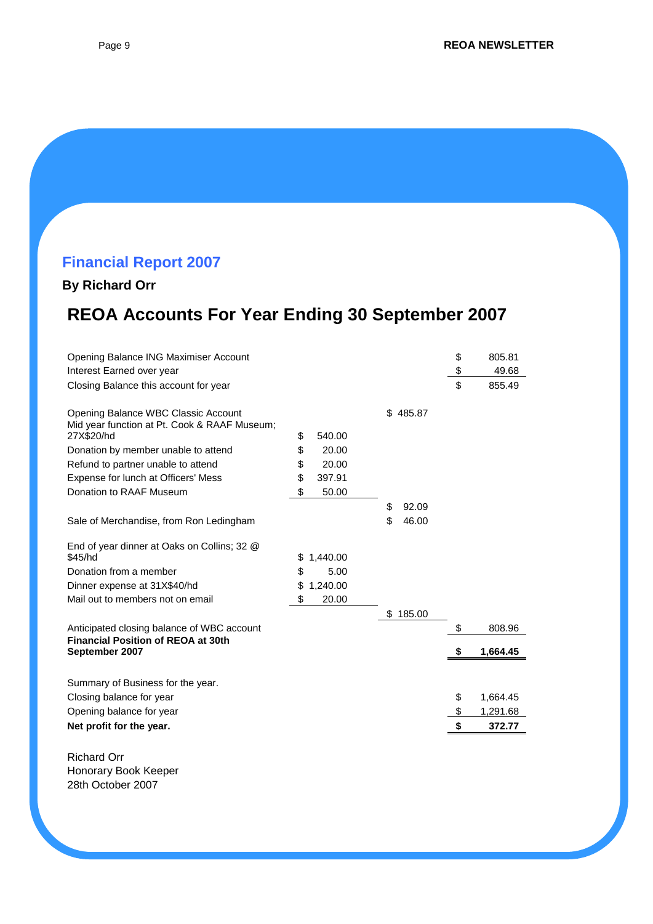# **Financial Report 2007**

## **By Richard Orr**

# **REOA Accounts For Year Ending 30 September 2007**

| Opening Balance ING Maximiser Account                      |                |             | \$<br>805.81   |
|------------------------------------------------------------|----------------|-------------|----------------|
| Interest Earned over year                                  |                |             | \$<br>49.68    |
| Closing Balance this account for year                      |                |             | \$<br>855.49   |
| Opening Balance WBC Classic Account                        |                | \$485.87    |                |
| Mid year function at Pt. Cook & RAAF Museum;<br>27X\$20/hd | \$<br>540.00   |             |                |
| Donation by member unable to attend                        | \$<br>20.00    |             |                |
| Refund to partner unable to attend                         | \$<br>20.00    |             |                |
| Expense for lunch at Officers' Mess                        | \$<br>397.91   |             |                |
| Donation to RAAF Museum                                    | \$<br>50.00    |             |                |
|                                                            |                | \$<br>92.09 |                |
| Sale of Merchandise, from Ron Ledingham                    |                | \$<br>46.00 |                |
| End of year dinner at Oaks on Collins; 32 @                |                |             |                |
| \$45/hd                                                    | \$<br>1,440.00 |             |                |
| Donation from a member                                     | \$<br>5.00     |             |                |
| Dinner expense at 31X\$40/hd                               | \$<br>1,240.00 |             |                |
| Mail out to members not on email                           | \$<br>20.00    |             |                |
|                                                            |                | \$185.00    |                |
| Anticipated closing balance of WBC account                 |                |             | \$<br>808.96   |
| <b>Financial Position of REOA at 30th</b>                  |                |             |                |
| September 2007                                             |                |             | \$<br>1,664.45 |
| Summary of Business for the year.                          |                |             |                |
| Closing balance for year                                   |                |             | \$<br>1,664.45 |
| Opening balance for year                                   |                |             | \$<br>1,291.68 |
| Net profit for the year.                                   |                |             | \$<br>372.77   |
|                                                            |                |             |                |
| <b>Richard Orr</b>                                         |                |             |                |
| يمعما باممط بعجوموها                                       |                |             |                |

Honorary Book Keeper 28th October 2007